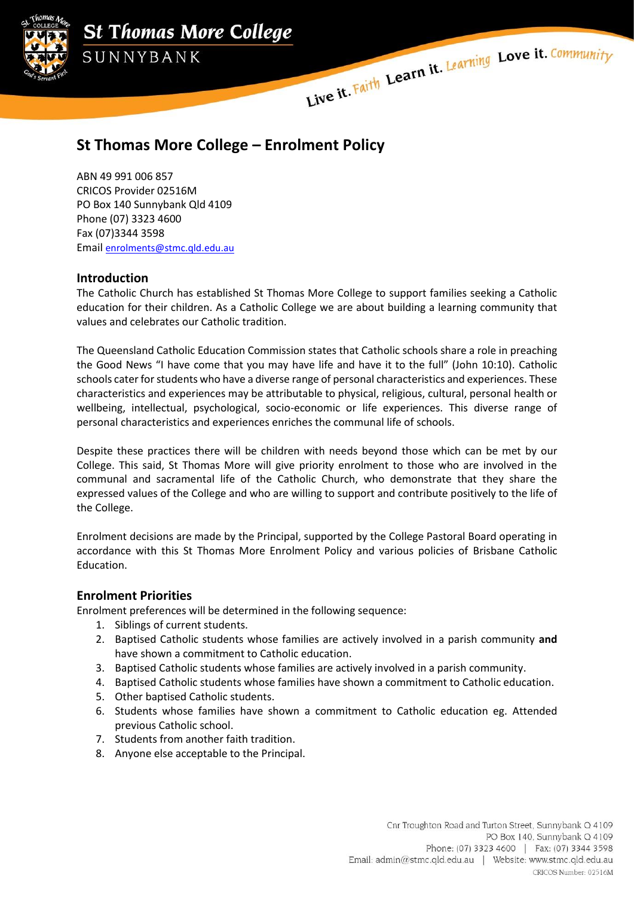

**St Thomas More College** SUNNYBANK

Live it Faith Learn it. Learning Love it. Community

# **St Thomas More College – Enrolment Policy**

ABN 49 991 006 857 CRICOS Provider 02516M PO Box 140 Sunnybank Qld 4109 Phone (07) 3323 4600 Fax (07)3344 3598 Email [enrolments@stmc.qld.edu.au](mailto:enrolments@stmc.qld.edu.au)

## **Introduction**

The Catholic Church has established St Thomas More College to support families seeking a Catholic education for their children. As a Catholic College we are about building a learning community that values and celebrates our Catholic tradition.

The Queensland Catholic Education Commission states that Catholic schools share a role in preaching the Good News "I have come that you may have life and have it to the full" (John 10:10). Catholic schools cater for students who have a diverse range of personal characteristics and experiences. These characteristics and experiences may be attributable to physical, religious, cultural, personal health or wellbeing, intellectual, psychological, socio-economic or life experiences. This diverse range of personal characteristics and experiences enriches the communal life of schools.

Despite these practices there will be children with needs beyond those which can be met by our College. This said, St Thomas More will give priority enrolment to those who are involved in the communal and sacramental life of the Catholic Church, who demonstrate that they share the expressed values of the College and who are willing to support and contribute positively to the life of the College.

Enrolment decisions are made by the Principal, supported by the College Pastoral Board operating in accordance with this St Thomas More Enrolment Policy and various policies of Brisbane Catholic Education.

## **Enrolment Priorities**

Enrolment preferences will be determined in the following sequence:

- 1. Siblings of current students.
- 2. Baptised Catholic students whose families are actively involved in a parish community **and**  have shown a commitment to Catholic education.
- 3. Baptised Catholic students whose families are actively involved in a parish community.
- 4. Baptised Catholic students whose families have shown a commitment to Catholic education.
- 5. Other baptised Catholic students.
- 6. Students whose families have shown a commitment to Catholic education eg. Attended previous Catholic school.
- 7. Students from another faith tradition.
- 8. Anyone else acceptable to the Principal.